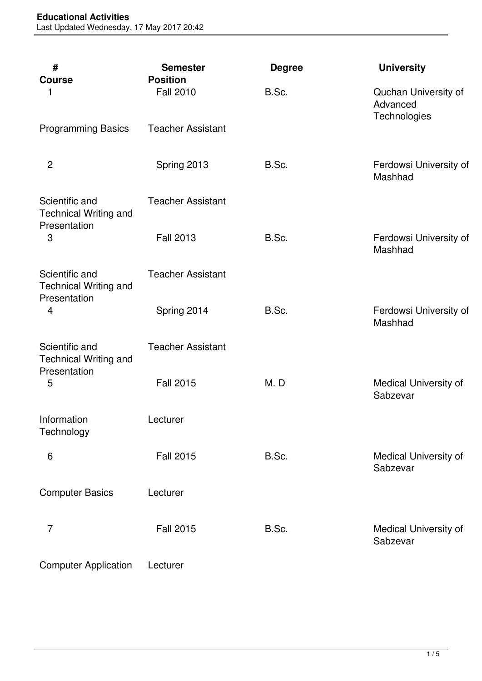| #<br><b>Course</b>                                                               | <b>Semester</b><br><b>Position</b> | <b>Degree</b> | <b>University</b>                                |
|----------------------------------------------------------------------------------|------------------------------------|---------------|--------------------------------------------------|
| 1                                                                                | <b>Fall 2010</b>                   | B.Sc.         | Quchan University of<br>Advanced<br>Technologies |
| <b>Programming Basics</b>                                                        | <b>Teacher Assistant</b>           |               |                                                  |
| $\overline{c}$                                                                   | Spring 2013                        | B.Sc.         | Ferdowsi University of<br>Mashhad                |
| Scientific and<br><b>Technical Writing and</b><br>Presentation<br>3              | <b>Teacher Assistant</b>           |               |                                                  |
|                                                                                  | <b>Fall 2013</b>                   | B.Sc.         | Ferdowsi University of<br>Mashhad                |
| Scientific and<br><b>Technical Writing and</b><br>Presentation<br>$\overline{4}$ | <b>Teacher Assistant</b>           |               |                                                  |
|                                                                                  | Spring 2014                        | B.Sc.         | Ferdowsi University of<br>Mashhad                |
| Scientific and<br><b>Technical Writing and</b><br>Presentation                   | <b>Teacher Assistant</b>           |               |                                                  |
| 5                                                                                | <b>Fall 2015</b>                   | M.D           | Medical University of<br>Sabzevar                |
| Information<br>Technology                                                        | Lecturer                           |               |                                                  |
| 6                                                                                | <b>Fall 2015</b>                   | B.Sc.         | Medical University of<br>Sabzevar                |
| <b>Computer Basics</b>                                                           | Lecturer                           |               |                                                  |
| $\overline{7}$                                                                   | <b>Fall 2015</b>                   | B.Sc.         | Medical University of<br>Sabzevar                |
| <b>Computer Application</b>                                                      | Lecturer                           |               |                                                  |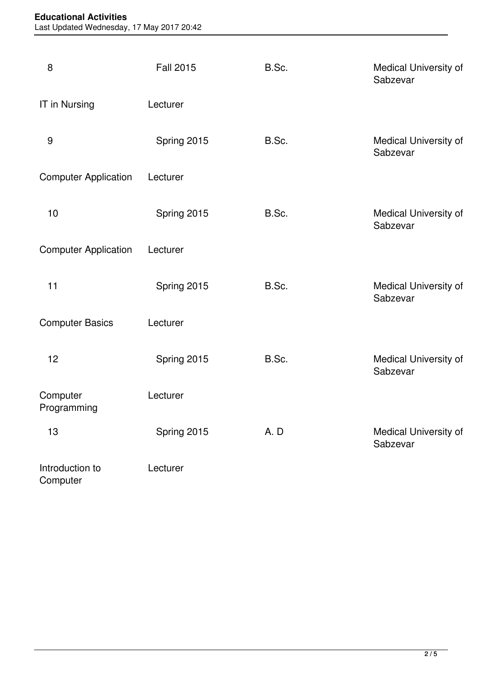## **Educational Activities**

Last Updated Wednesday, 17 May 2017 20:42

| 8                           | <b>Fall 2015</b> | B.Sc. | Medical University of<br>Sabzevar |
|-----------------------------|------------------|-------|-----------------------------------|
| IT in Nursing               | Lecturer         |       |                                   |
| 9                           | Spring 2015      | B.Sc. | Medical University of<br>Sabzevar |
| <b>Computer Application</b> | Lecturer         |       |                                   |
| 10                          | Spring 2015      | B.Sc. | Medical University of<br>Sabzevar |
| <b>Computer Application</b> | Lecturer         |       |                                   |
| 11                          | Spring 2015      | B.Sc. | Medical University of<br>Sabzevar |
| <b>Computer Basics</b>      | Lecturer         |       |                                   |
| 12                          | Spring 2015      | B.Sc. | Medical University of<br>Sabzevar |
| Computer<br>Programming     | Lecturer         |       |                                   |
| 13                          | Spring 2015      | A.D   | Medical University of<br>Sabzevar |
| Introduction to<br>Computer | Lecturer         |       |                                   |